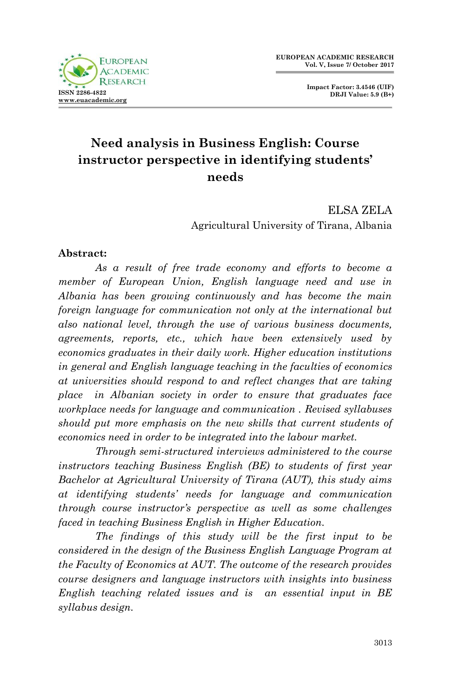

**Impact Factor: 3.4546 (UIF) DRJI Value: 5.9 (B+)**

# **Need analysis in Business English: Course instructor perspective in identifying students' needs**

ELSA ZELA Agricultural University of Tirana, Albania

#### **Abstract:**

*As a result of free trade economy and efforts to become a member of European Union, English language need and use in Albania has been growing continuously and has become the main foreign language for communication not only at the international but also national level, through the use of various business documents, agreements, reports, etc., which have been extensively used by economics graduates in their daily work. Higher education institutions in general and English language teaching in the faculties of economics at universities should respond to and reflect changes that are taking place in Albanian society in order to ensure that graduates face workplace needs for language and communication . Revised syllabuses should put more emphasis on the new skills that current students of economics need in order to be integrated into the labour market.*

*Through semi-structured interviews administered to the course instructors teaching Business English (BE) to students of first year Bachelor at Agricultural University of Tirana (AUT), this study aims at identifying students' needs for language and communication through course instructor's perspective as well as some challenges faced in teaching Business English in Higher Education.* 

*The findings of this study will be the first input to be considered in the design of the Business English Language Program at the Faculty of Economics at AUT. The outcome of the research provides course designers and language instructors with insights into business English teaching related issues and is an essential input in BE syllabus design.*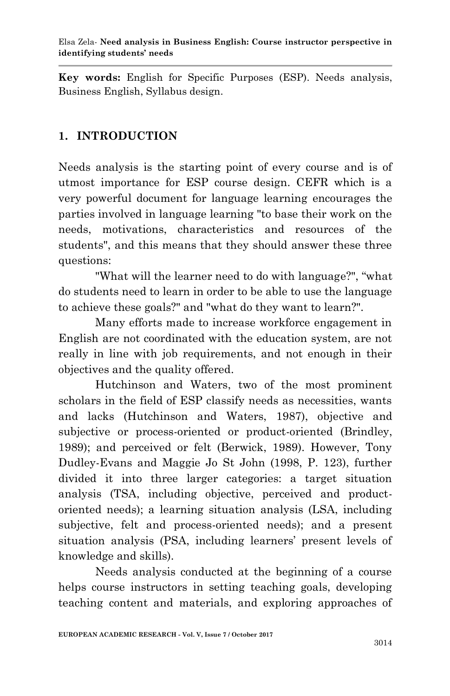**Key words:** English for Specific Purposes (ESP). Needs analysis, Business English, Syllabus design.

# **1. INTRODUCTION**

Needs analysis is the starting point of every course and is of utmost importance for ESP course design. CEFR which is a very powerful document for language learning encourages the parties involved in language learning "to base their work on the needs, motivations, characteristics and resources of the students", and this means that they should answer these three questions:

"What will the learner need to do with language?", "what do students need to learn in order to be able to use the language to achieve these goals?" and "what do they want to learn?".

Many efforts made to increase workforce engagement in English are not coordinated with the education system, are not really in line with job requirements, and not enough in their objectives and the quality offered.

Hutchinson and Waters, two of the most prominent scholars in the field of ESP classify needs as necessities, wants and lacks (Hutchinson and Waters, 1987), objective and subjective or process-oriented or product-oriented (Brindley, 1989); and perceived or felt (Berwick, 1989). However, Tony Dudley-Evans and Maggie Jo St John (1998, P. 123), further divided it into three larger categories: a target situation analysis (TSA, including objective, perceived and productoriented needs); a learning situation analysis (LSA, including subjective, felt and process-oriented needs); and a present situation analysis (PSA, including learners' present levels of knowledge and skills).

Needs analysis conducted at the beginning of a course helps course instructors in setting teaching goals, developing teaching content and materials, and exploring approaches of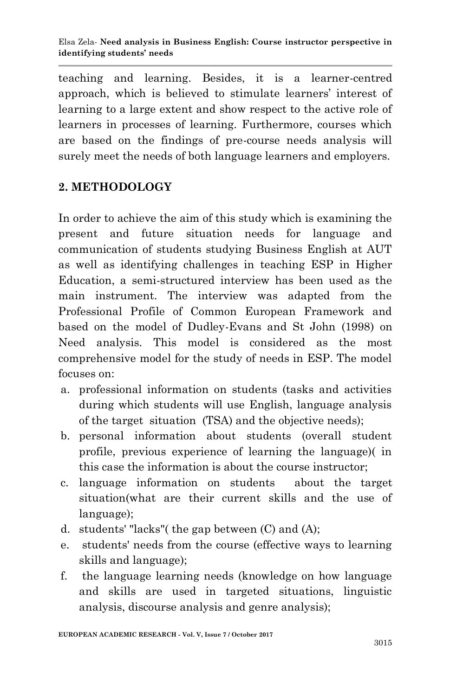teaching and learning. Besides, it is a learner-centred approach, which is believed to stimulate learners' interest of learning to a large extent and show respect to the active role of learners in processes of learning. Furthermore, courses which are based on the findings of pre-course needs analysis will surely meet the needs of both language learners and employers.

# **2. METHODOLOGY**

In order to achieve the aim of this study which is examining the present and future situation needs for language and communication of students studying Business English at AUT as well as identifying challenges in teaching ESP in Higher Education, a semi-structured interview has been used as the main instrument. The interview was adapted from the Professional Profile of Common European Framework and based on the model of Dudley-Evans and St John (1998) on Need analysis. This model is considered as the most comprehensive model for the study of needs in ESP. The model focuses on:

- a. professional information on students (tasks and activities during which students will use English, language analysis of the target situation (TSA) and the objective needs);
- b. personal information about students (overall student profile, previous experience of learning the language)( in this case the information is about the course instructor;
- c. language information on students about the target situation(what are their current skills and the use of language);
- d. students' "lacks"( the gap between (C) and (A);
- e. students' needs from the course (effective ways to learning skills and language);
- f. the language learning needs (knowledge on how language and skills are used in targeted situations, linguistic analysis, discourse analysis and genre analysis);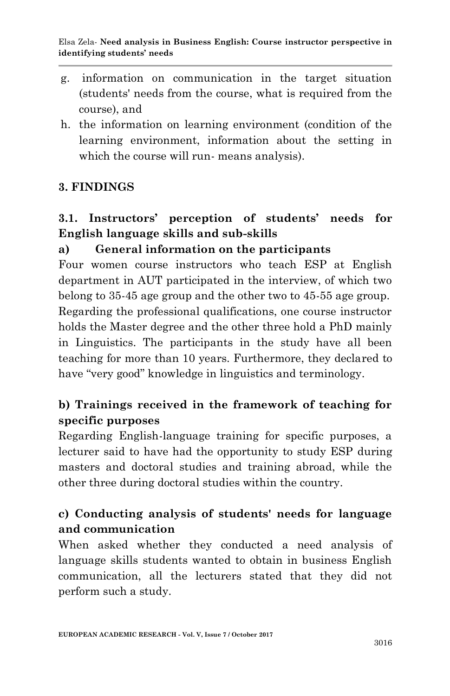- g. information on communication in the target situation (students' needs from the course, what is required from the course), and
- h. the information on learning environment (condition of the learning environment, information about the setting in which the course will run- means analysis).

## **3. FINDINGS**

# **3.1. Instructors' perception of students' needs for English language skills and sub-skills**

## **a) General information on the participants**

Four women course instructors who teach ESP at English department in AUT participated in the interview, of which two belong to 35-45 age group and the other two to 45-55 age group. Regarding the professional qualifications, one course instructor holds the Master degree and the other three hold a PhD mainly in Linguistics. The participants in the study have all been teaching for more than 10 years. Furthermore, they declared to have "very good" knowledge in linguistics and terminology.

# **b) Trainings received in the framework of teaching for specific purposes**

Regarding English-language training for specific purposes, a lecturer said to have had the opportunity to study ESP during masters and doctoral studies and training abroad, while the other three during doctoral studies within the country.

# **c) Conducting analysis of students' needs for language and communication**

When asked whether they conducted a need analysis of language skills students wanted to obtain in business English communication, all the lecturers stated that they did not perform such a study.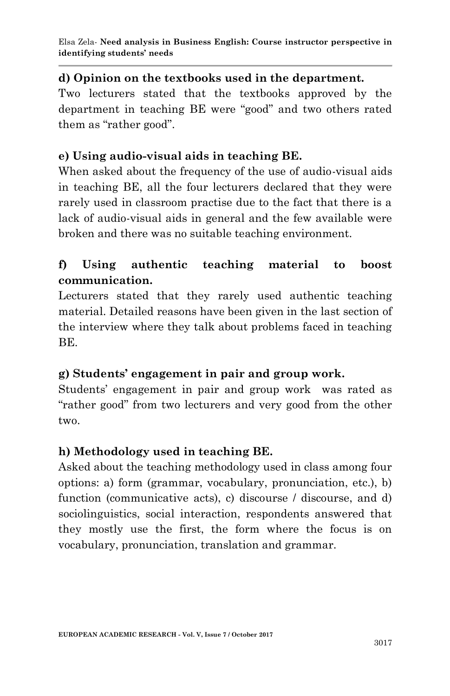### **d) Opinion on the textbooks used in the department.**

Two lecturers stated that the textbooks approved by the department in teaching BE were "good" and two others rated them as "rather good".

#### **e) Using audio-visual aids in teaching BE.**

When asked about the frequency of the use of audio-visual aids in teaching BE, all the four lecturers declared that they were rarely used in classroom practise due to the fact that there is a lack of audio-visual aids in general and the few available were broken and there was no suitable teaching environment.

## **f) Using authentic teaching material to boost communication.**

Lecturers stated that they rarely used authentic teaching material. Detailed reasons have been given in the last section of the interview where they talk about problems faced in teaching BE.

### **g) Students' engagement in pair and group work.**

Students' engagement in pair and group work was rated as "rather good" from two lecturers and very good from the other two.

### **h) Methodology used in teaching BE.**

Asked about the teaching methodology used in class among four options: a) form (grammar, vocabulary, pronunciation, etc.), b) function (communicative acts), c) discourse / discourse, and d) sociolinguistics, social interaction, respondents answered that they mostly use the first, the form where the focus is on vocabulary, pronunciation, translation and grammar.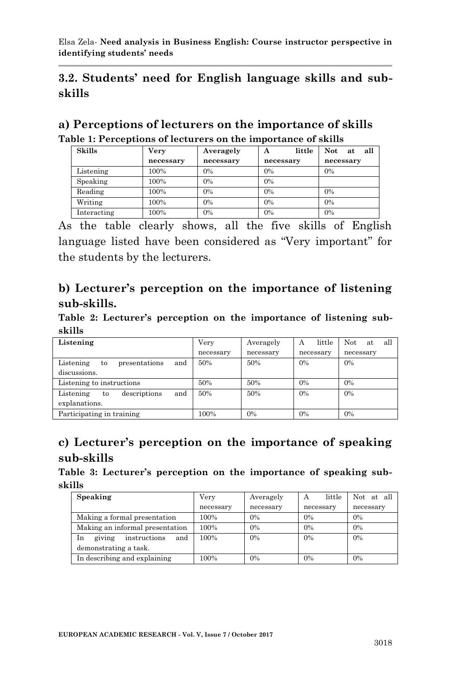## **3.2. Students' need for English language skills and subskills**

| a) Perceptions of lecturers on the importance of skills       |
|---------------------------------------------------------------|
| Table 1: Perceptions of lecturers on the importance of skills |

| <b>Skills</b> | <b>Very</b> | Averagely | little<br>А | all<br>Not.<br>at |
|---------------|-------------|-----------|-------------|-------------------|
|               | necessary   | necessary | necessary   | necessary         |
| Listening     | 100%        | 0%        | 0%          | 0%                |
| Speaking      | 100%        | 0%        | 0%          |                   |
| Reading       | 100%        | 0%        | 0%          | 0%                |
| Writing       | 100%        | 0%        | 0%          | 0%                |
| Interacting   | 100%        | 0%        | 0%          | 0%                |

As the table clearly shows, all the five skills of English language listed have been considered as "Very important" for the students by the lecturers.

## **b) Lecturer's perception on the importance of listening sub-skills.**

**Table 2: Lecturer's perception on the importance of listening subskills**

| Listening                               | Very      | Averagely | little<br>A | all<br>Not.<br>at |
|-----------------------------------------|-----------|-----------|-------------|-------------------|
|                                         | necessary | necessary | necessary   | necessary         |
| and<br>Listening<br>presentations<br>to | 50%       | 50%       | 0%          | 0%                |
| discussions.                            |           |           |             |                   |
| Listening to instructions               | 50%       | 50%       | 0%          | 0%                |
| and<br>Listening<br>descriptions<br>to  | 50%       | 50%       | 0%          | 0%                |
| explanations.                           |           |           |             |                   |
| Participating in training               | 100%      | $0\%$     | $0\%$       | 0%                |

## **c) Lecturer's perception on the importance of speaking sub-skills**

**Table 3: Lecturer's perception on the importance of speaking subskills**

| Speaking                            | Verv      | Averagely | little<br>А | Not at all |
|-------------------------------------|-----------|-----------|-------------|------------|
|                                     | necessary | necessary | necessary   | necessary  |
| Making a formal presentation        | 100%      | $0\%$     | 0%          | 0%         |
| Making an informal presentation     | 100%      | $0\%$     | 0%          | 0%         |
| giving<br>and<br>In<br>instructions | 100%      | 0%        | 0%          | $0\%$      |
| demonstrating a task.               |           |           |             |            |
| In describing and explaining        | 100%      | $0\%$     | 0%          | 0%         |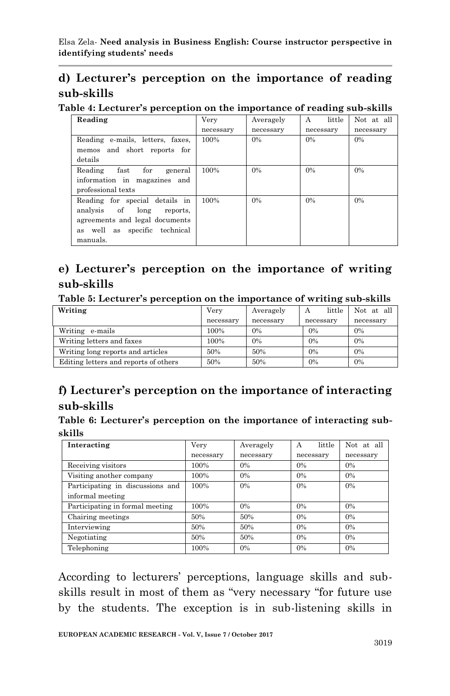# **d) Lecturer's perception on the importance of reading sub-skills**

**Table 4: Lecturer's perception on the importance of reading sub-skills**

| Reading                                                                                                                                          | Very      | Averagely | little<br>A | Not at all |
|--------------------------------------------------------------------------------------------------------------------------------------------------|-----------|-----------|-------------|------------|
|                                                                                                                                                  | necessary | necessary | necessary   | necessary  |
| Reading e-mails, letters, faxes,<br>memos and short reports for                                                                                  | 100%      | 0%        | 0%          | 0%         |
| details                                                                                                                                          |           |           |             |            |
| for<br>Reading<br>$_{\rm fast}$<br>general<br>information in magazines and<br>professional texts                                                 | 100%      | 0%        | 0%          | 0%         |
| Reading for special details in<br>analysis of<br>long<br>reports.<br>agreements and legal documents<br>as well as specific technical<br>manuals. | 100%      | 0%        | 0%          | 0%         |

## **e) Lecturer's perception on the importance of writing sub-skills**

**Table 5: Lecturer's perception on the importance of writing sub-skills**

| Writing                               | Very      | Averagely | little<br>A | Not at all |
|---------------------------------------|-----------|-----------|-------------|------------|
|                                       | necessary | necessary | necessary   | necessary  |
| Writing e-mails                       | 100%      | 0%        | $0\%$       | 0%         |
| Writing letters and faxes             | 100%      | 0%        | 0%          | 0%         |
| Writing long reports and articles     | 50%       | 50%       | 0%          | 0%         |
| Editing letters and reports of others | 50%       | 50%       | 0%          | 0%         |

# **f) Lecturer's perception on the importance of interacting sub-skills**

**Table 6: Lecturer's perception on the importance of interacting subskills**

| Interacting                      | Very      | Averagely | little<br>А | Not at all |
|----------------------------------|-----------|-----------|-------------|------------|
|                                  | necessary | necessary | necessary   | necessary  |
| Receiving visitors               | 100%      | 0%        | 0%          | 0%         |
| Visiting another company         | 100%      | $0\%$     | 0%          | 0%         |
| Participating in discussions and | 100%      | 0%        | 0%          | 0%         |
| informal meeting                 |           |           |             |            |
| Participating in formal meeting  | 100%      | $0\%$     | 0%          | 0%         |
| Chairing meetings                | 50%       | 50%       | 0%          | 0%         |
| Interviewing                     | 50%       | 50%       | 0%          | 0%         |
| Negotiating                      | 50%       | 50%       | 0%          | 0%         |
| Telephoning                      | 100%      | $0\%$     | 0%          | 0%         |

According to lecturers' perceptions, language skills and subskills result in most of them as "very necessary "for future use by the students. The exception is in sub-listening skills in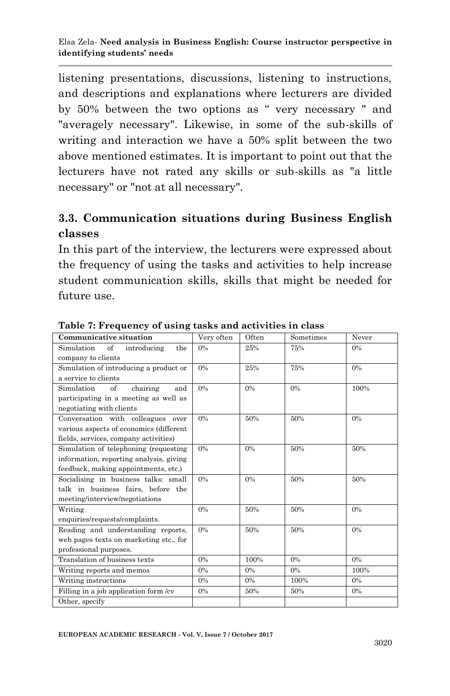listening presentations, discussions, listening to instructions, and descriptions and explanations where lecturers are divided by 50% between the two options as " very necessary " and "averagely necessary". Likewise, in some of the sub-skills of writing and interaction we have a 50% split between the two above mentioned estimates. It is important to point out that the lecturers have not rated any skills or sub-skills as "a little necessary" or "not at all necessary".

## **3.3. Communication situations during Business English classes**

In this part of the interview, the lecturers were expressed about the frequency of using the tasks and activities to help increase student communication skills, skills that might be needed for future use.

| <b>Communicative situation</b>          | Very often | Often | Sometimes | Never |
|-----------------------------------------|------------|-------|-----------|-------|
| of<br>Simulation<br>introducing<br>the  | 0%         | 25%   | 75%       | $0\%$ |
| company to clients                      |            |       |           |       |
| Simulation of introducing a product or  | 0%         | 25%   | 75%       | 0%    |
| a service to clients                    |            |       |           |       |
| Simulation<br>of<br>chairing<br>and     | $0\%$      | 0%    | 0%        | 100%  |
| participating in a meeting as well as   |            |       |           |       |
| negotiating with clients                |            |       |           |       |
| Conversation with colleagues over       | $0\%$      | 50%   | 50%       | 0%    |
| various aspects of economics (different |            |       |           |       |
| fields, services, company activities)   |            |       |           |       |
| Simulation of telephoning (requesting   | $0\%$      | 0%    | 50%       | 50%   |
| information, reporting analysis, giving |            |       |           |       |
| feedback, making appointments, etc.)    |            |       |           |       |
| Socialising in business talks: small    | $0\%$      | 0%    | 50%       | 50%   |
| talk in business fairs, before the      |            |       |           |       |
| meeting/interview/negotiations          |            |       |           |       |
| Writing                                 | 0%         | 50%   | 50%       | $0\%$ |
| enquiries/requests/complaints.          |            |       |           |       |
| Reading and understanding reports,      | $0\%$      | 50%   | 50%       | 0%    |
| web pages texts on marketing etc., for  |            |       |           |       |
| professional purposes.                  |            |       |           |       |
| Translation of business texts           | 0%         | 100%  | $0\%$     | $0\%$ |
| Writing reports and memos               | $0\%$      | $0\%$ | $0\%$     | 100%  |
| Writing instructions                    | 0%         | $0\%$ | 100%      | $0\%$ |
| Filling in a job application form /cv   | 0%         | 50%   | 50%       | $0\%$ |
| Other, specify                          |            |       |           |       |

**Table 7: Frequency of using tasks and activities in class**

**EUROPEAN ACADEMIC RESEARCH - Vol. V, Issue 7 / October 2017**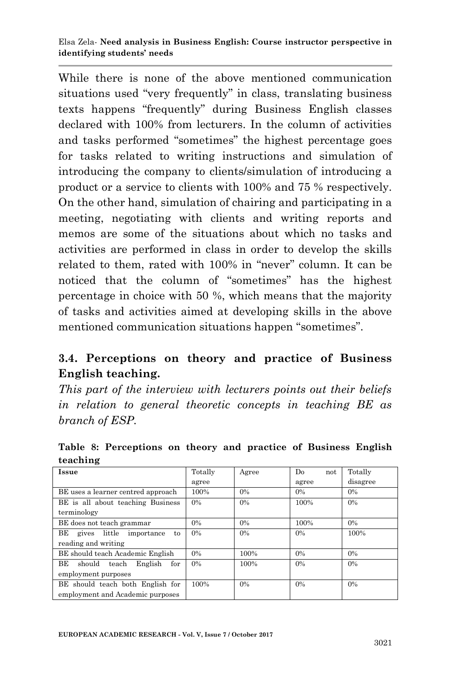While there is none of the above mentioned communication situations used "very frequently" in class, translating business texts happens "frequently" during Business English classes declared with 100% from lecturers. In the column of activities and tasks performed "sometimes" the highest percentage goes for tasks related to writing instructions and simulation of introducing the company to clients/simulation of introducing a product or a service to clients with 100% and 75 % respectively. On the other hand, simulation of chairing and participating in a meeting, negotiating with clients and writing reports and memos are some of the situations about which no tasks and activities are performed in class in order to develop the skills related to them, rated with 100% in "never" column. It can be noticed that the column of "sometimes" has the highest percentage in choice with 50 %, which means that the majority of tasks and activities aimed at developing skills in the above mentioned communication situations happen "sometimes".

# **3.4. Perceptions on theory and practice of Business English teaching.**

*This part of the interview with lecturers points out their beliefs in relation to general theoretic concepts in teaching BE as branch of ESP.* 

| Issue                                | Totally | Agree | D <sub>0</sub><br>not | Totally  |
|--------------------------------------|---------|-------|-----------------------|----------|
|                                      | agree   |       | agree                 | disagree |
| BE uses a learner centred approach   | 100%    | $0\%$ | $0\%$                 | 0%       |
| BE is all about teaching Business    | 0%      | 0%    | 100%                  | $0\%$    |
| terminology                          |         |       |                       |          |
| BE does not teach grammar            | $0\%$   | $0\%$ | 100%                  | $0\%$    |
| BЕ<br>gives little importance<br>to  | $0\%$   | 0%    | $0\%$                 | 100%     |
| reading and writing                  |         |       |                       |          |
| BE should teach Academic English     | 0%      | 100%  | $0\%$                 | $0\%$    |
| BE<br>English<br>should teach<br>for | 0%      | 100%  | 0%                    | $0\%$    |
| employment purposes                  |         |       |                       |          |
| BE should teach both English for     | 100%    | 0%    | 0%                    | $0\%$    |
| employment and Academic purposes     |         |       |                       |          |

**Table 8: Perceptions on theory and practice of Business English teaching**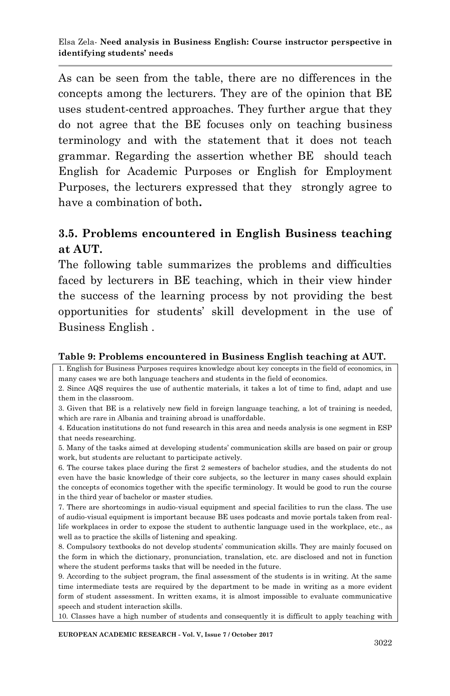As can be seen from the table, there are no differences in the concepts among the lecturers. They are of the opinion that BE uses student-centred approaches. They further argue that they do not agree that the BE focuses only on teaching business terminology and with the statement that it does not teach grammar. Regarding the assertion whether BE should teach English for Academic Purposes or English for Employment Purposes, the lecturers expressed that they strongly agree to have a combination of both**.**

### **3.5. Problems encountered in English Business teaching at AUT.**

The following table summarizes the problems and difficulties faced by lecturers in BE teaching, which in their view hinder the success of the learning process by not providing the best opportunities for students' skill development in the use of Business English .

#### **Table 9: Problems encountered in Business English teaching at AUT.**

1. English for Business Purposes requires knowledge about key concepts in the field of economics, in many cases we are both language teachers and students in the field of economics.

2. Since AQS requires the use of authentic materials, it takes a lot of time to find, adapt and use them in the classroom.

3. Given that BE is a relatively new field in foreign language teaching, a lot of training is needed, which are rare in Albania and training abroad is unaffordable.

4. Education institutions do not fund research in this area and needs analysis is one segment in ESP that needs researching.

5. Many of the tasks aimed at developing students' communication skills are based on pair or group work, but students are reluctant to participate actively.

6. The course takes place during the first 2 semesters of bachelor studies, and the students do not even have the basic knowledge of their core subjects, so the lecturer in many cases should explain the concepts of economics together with the specific terminology. It would be good to run the course in the third year of bachelor or master studies.

7. There are shortcomings in audio-visual equipment and special facilities to run the class. The use of audio-visual equipment is important because BE uses podcasts and movie portals taken from reallife workplaces in order to expose the student to authentic language used in the workplace, etc., as well as to practice the skills of listening and speaking.

8. Compulsory textbooks do not develop students' communication skills. They are mainly focused on the form in which the dictionary, pronunciation, translation, etc. are disclosed and not in function where the student performs tasks that will be needed in the future.

9. According to the subject program, the final assessment of the students is in writing. At the same time intermediate tests are required by the department to be made in writing as a more evident form of student assessment. In written exams, it is almost impossible to evaluate communicative speech and student interaction skills.

10. Classes have a high number of students and consequently it is difficult to apply teaching with

**EUROPEAN ACADEMIC RESEARCH - Vol. V, Issue 7 / October 2017**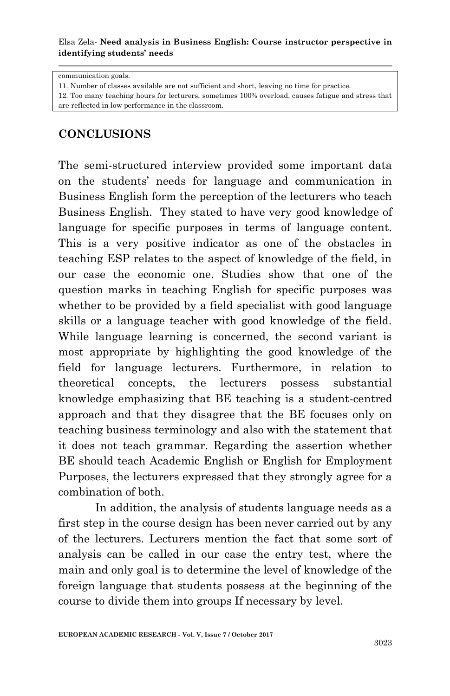#### Elsa Zela*-* **Need analysis in Business English: Course instructor perspective in identifying students' needs**

communication goals.

11. Number of classes available are not sufficient and short, leaving no time for practice.

12. Too many teaching hours for lecturers, sometimes 100% overload, causes fatigue and stress that are reflected in low performance in the classroom.

#### **CONCLUSIONS**

The semi-structured interview provided some important data on the students' needs for language and communication in Business English form the perception of the lecturers who teach Business English. They stated to have very good knowledge of language for specific purposes in terms of language content. This is a very positive indicator as one of the obstacles in teaching ESP relates to the aspect of knowledge of the field, in our case the economic one. Studies show that one of the question marks in teaching English for specific purposes was whether to be provided by a field specialist with good language skills or a language teacher with good knowledge of the field. While language learning is concerned, the second variant is most appropriate by highlighting the good knowledge of the field for language lecturers. Furthermore, in relation to theoretical concepts, the lecturers possess substantial knowledge emphasizing that BE teaching is a student-centred approach and that they disagree that the BE focuses only on teaching business terminology and also with the statement that it does not teach grammar. Regarding the assertion whether BE should teach Academic English or English for Employment Purposes, the lecturers expressed that they strongly agree for a combination of both.

In addition, the analysis of students language needs as a first step in the course design has been never carried out by any of the lecturers. Lecturers mention the fact that some sort of analysis can be called in our case the entry test, where the main and only goal is to determine the level of knowledge of the foreign language that students possess at the beginning of the course to divide them into groups If necessary by level.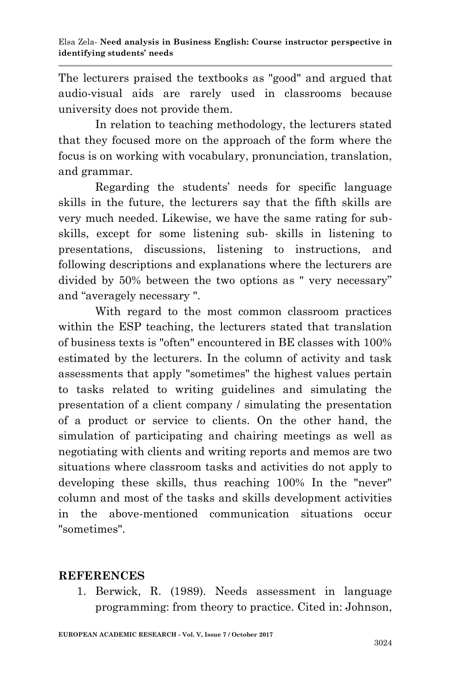The lecturers praised the textbooks as "good" and argued that audio-visual aids are rarely used in classrooms because university does not provide them.

In relation to teaching methodology, the lecturers stated that they focused more on the approach of the form where the focus is on working with vocabulary, pronunciation, translation, and grammar.

Regarding the students' needs for specific language skills in the future, the lecturers say that the fifth skills are very much needed. Likewise, we have the same rating for subskills, except for some listening sub- skills in listening to presentations, discussions, listening to instructions, and following descriptions and explanations where the lecturers are divided by 50% between the two options as " very necessary" and "averagely necessary ".

With regard to the most common classroom practices within the ESP teaching, the lecturers stated that translation of business texts is "often" encountered in BE classes with 100% estimated by the lecturers. In the column of activity and task assessments that apply "sometimes" the highest values pertain to tasks related to writing guidelines and simulating the presentation of a client company / simulating the presentation of a product or service to clients. On the other hand, the simulation of participating and chairing meetings as well as negotiating with clients and writing reports and memos are two situations where classroom tasks and activities do not apply to developing these skills, thus reaching 100% In the "never" column and most of the tasks and skills development activities in the above-mentioned communication situations occur "sometimes".

### **REFERENCES**

1. Berwick, R. (1989). Needs assessment in language programming: from theory to practice. Cited in: Johnson,

**EUROPEAN ACADEMIC RESEARCH - Vol. V, Issue 7 / October 2017**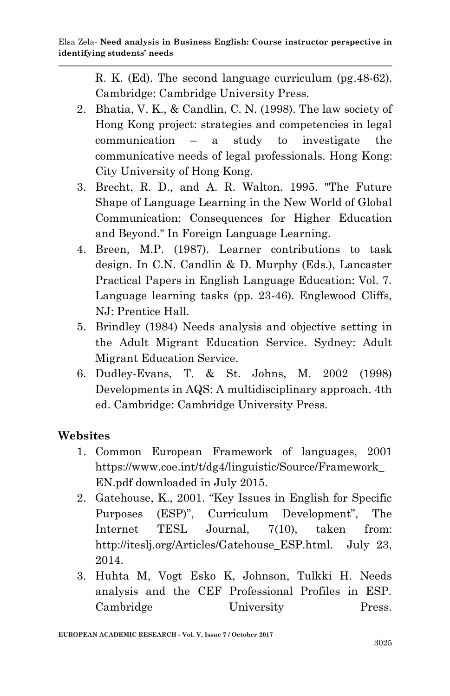R. K. (Ed). The second language curriculum (pg.48-62). Cambridge: Cambridge University Press.

- 2. Bhatia, V. K., & Candlin, C. N. (1998). The law society of Hong Kong project: strategies and competencies in legal communication – a study to investigate the communicative needs of legal professionals. Hong Kong: City University of Hong Kong.
- 3. Brecht, R. D., and A. R. Walton. 1995. "The Future Shape of Language Learning in the New World of Global Communication: Consequences for Higher Education and Beyond." In Foreign Language Learning.
- 4. Breen, M.P. (1987). Learner contributions to task design. In C.N. Candlin & D. Murphy (Eds.), Lancaster Practical Papers in English Language Education: Vol. 7. Language learning tasks (pp. 23-46). Englewood Cliffs, NJ: Prentice Hall.
- 5. Brindley (1984) Needs analysis and objective setting in the Adult Migrant Education Service. Sydney: Adult Migrant Education Service.
- 6. Dudley-Evans, T. & St. Johns, M. 2002 (1998) Developments in AQS: A multidisciplinary approach. 4th ed. Cambridge: Cambridge University Press.

## **Websites**

- 1. Common European Framework of languages, 2001 https://www.coe.int/t/dg4/linguistic/Source/Framework\_ EN.pdf downloaded in July 2015.
- 2. Gatehouse, K., 2001. "Key Issues in English for Specific Purposes (ESP)", Curriculum Development", The Internet TESL Journal, 7(10), taken from: http://iteslj.org/Articles/Gatehouse\_ESP.html. July 23, 2014.
- 3. Huhta M, Vogt Esko K, Johnson, Tulkki H. Needs analysis and the CEF Professional Profiles in ESP. Cambridge University Press.